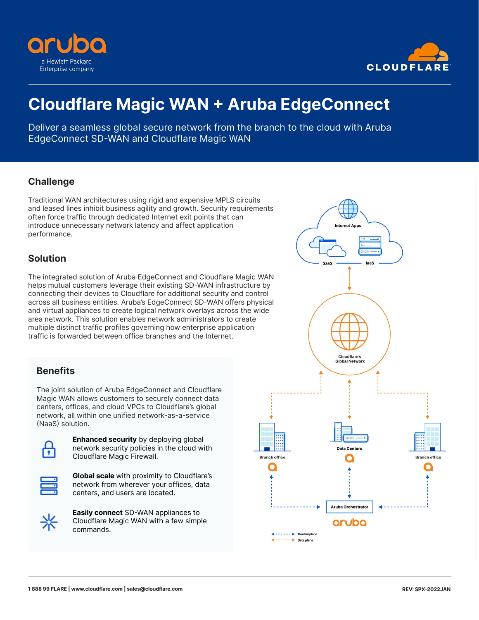



# **Cloudflare Magic WAN + Aruba EdgeConnect**

Deliver a seamless global secure network from the branch to the cloud with Aruba EdgeConnect SD-WAN and Cloudflare Magic WAN

### **Challenge**

Traditional WAN architectures using rigid and expensive MPLS circuits and leased lines inhibit business agility and growth. Security requirements often force traffic through dedicated Internet exit points that can introduce unnecessary network latency and affect application performance.

#### **Solution**

The integrated solution of Aruba EdgeConnect and Cloudflare Magic WAN helps mutual customers leverage their existing SD-WAN infrastructure by connecting their devices to Cloudflare for additional security and control across all business entities. Aruba's EdgeConnect SD-WAN offers physical and virtual appliances to create logical network overlays across the wide area network. This solution enables network administrators to create multiple distinct traffic profiles governing how enterprise application traffic is forwarded between office branches and the Internet.

# **Benefits**

The joint solution of Aruba EdgeConnect and Cloudflare Magic WAN allows customers to securely connect data centers, offices, and cloud VPCs to Cloudflare's global network, all within one unified network-as-a-service (NaaS) solution.



**Enhanced security** by deploying global network security policies in the cloud with Cloudflare Magic Firewall.



**Global scale** with proximity to Cloudflare's network from wherever your offices, data centers, and users are located.



**Easily connect** SD-WAN appliances to Cloudflare Magic WAN with a few simple commands.